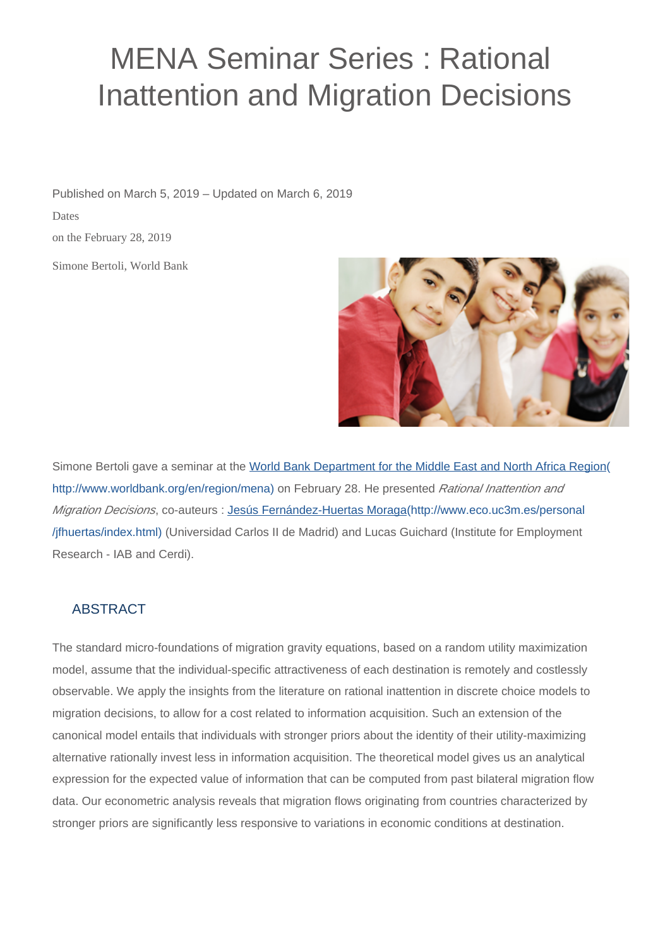## MENA Seminar Series : Rational Inattention and Migration Decisions

Simone Bertoli, World Bank Published on March 5, 2019 – Updated on March 6, 2019 Dates on the February 28, 2019



Simone Bertoli gave a seminar at the [World Bank Department for the Middle East and North Africa Region\(](http://www.worldbank.org/en/region/mena) [http://www.worldbank.org/en/region/mena\)](http://www.worldbank.org/en/region/mena) on February 28. He presented Rational Inattention and Migration Decisions, co-auteurs : [Jesús Fernández-Huertas Moraga\(http://www.eco.uc3m.es/personal](http://www.eco.uc3m.es/personal/jfhuertas/index.html) [/jfhuertas/index.html\)](http://www.eco.uc3m.es/personal/jfhuertas/index.html) (Universidad Carlos II de Madrid) and Lucas Guichard (Institute for Employment Research - IAB and Cerdi).

## ABSTRACT

The standard micro-foundations of migration gravity equations, based on a random utility maximization model, assume that the individual-specific attractiveness of each destination is remotely and costlessly observable. We apply the insights from the literature on rational inattention in discrete choice models to migration decisions, to allow for a cost related to information acquisition. Such an extension of the canonical model entails that individuals with stronger priors about the identity of their utility-maximizing alternative rationally invest less in information acquisition. The theoretical model gives us an analytical expression for the expected value of information that can be computed from past bilateral migration flow data. Our econometric analysis reveals that migration flows originating from countries characterized by stronger priors are significantly less responsive to variations in economic conditions at destination.